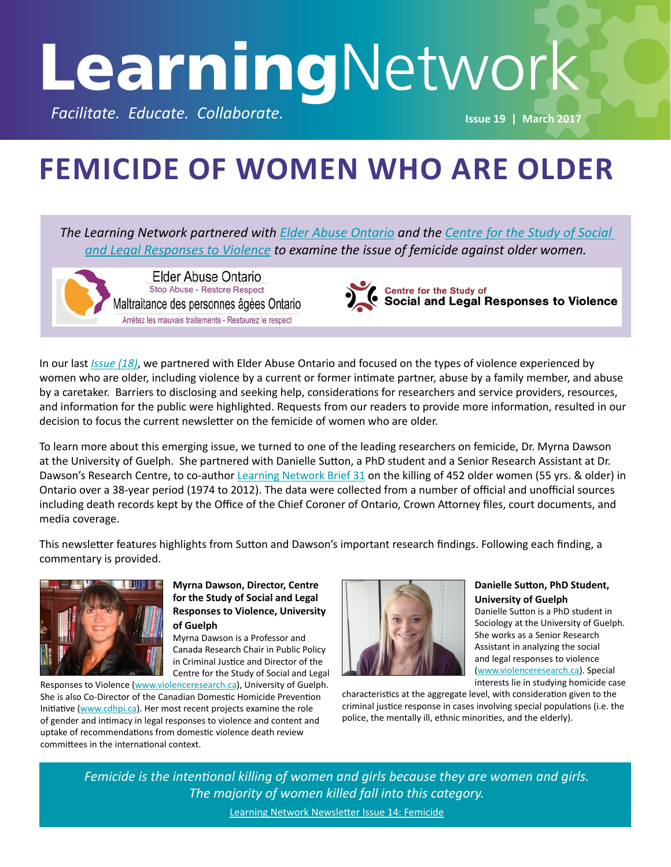# **Learning**Network

**Facilitate. Educate. Collaborate. ISSUE 2017 ISSUE 19 | March 2017** 

## **FEMICIDE OF WOMEN WHO ARE OLDER**

*The Learning Network partnered with [Elder Abuse Ontario](http://www.elderabuseontario.com/) and the [Centre for the Study of Social](http://violenceresearch.ca/)  [and Legal Responses to Violence](http://violenceresearch.ca/) to examine the issue of femicide against older women.*

Elder Abuse Ontario Stop Abuse - Restore Respect Maltraitance des personnes âgées Ontario Arrêtez les mauvais traitements - Restaurez le respect

Centre for the Study of<br>Social and Legal Responses to Violence

In our last *[Issue \(18\)](http://www.vawlearningnetwork.ca/issue-18-violence-against-women-who-are-older)*, we partnered with Elder Abuse Ontario and focused on the types of violence experienced by women who are older, including violence by a current or former intimate partner, abuse by a family member, and abuse by a caretaker. Barriers to disclosing and seeking help, considerations for researchers and service providers, resources, and information for the public were highlighted. Requests from our readers to provide more information, resulted in our decision to focus the current newsletter on the femicide of women who are older.

To learn more about this emerging issue, we turned to one of the leading researchers on femicide, Dr. Myrna Dawson at the University of Guelph. She partnered with Danielle Sutton, a PhD student and a Senior Research Assistant at Dr. Dawson's Research Centre, to co-author [Learning Network Brief 31](http://www.vawlearningnetwork.ca/femicide-older-women) on the killing of 452 older women (55 yrs. & older) in Ontario over a 38-year period (1974 to 2012). The data were collected from a number of official and unofficial sources including death records kept by the Office of the Chief Coroner of Ontario, Crown Attorney files, court documents, and media coverage.

This newsletter features highlights from Sutton and Dawson's important research findings. Following each finding, a commentary is provided.



#### **Myrna Dawson, Director, Centre for the Study of Social and Legal Responses to Violence, University of Guelph**

Myrna Dawson is a Professor and Canada Research Chair in Public Policy in Criminal Justice and Director of the Centre for the Study of Social and Legal

Responses to Violence ([www.violenceresearch.ca](http://www.violenceresearch.ca)), University of Guelph. She is also Co-Director of the Canadian Domestic Homicide Prevention Initiative ([www.cdhpi.ca](http://www.cdhpi.ca)). Her most recent projects examine the role of gender and intimacy in legal responses to violence and content and uptake of recommendations from domestic violence death review committees in the international context.



#### **Danielle Sutton, PhD Student, University of Guelph**

Danielle Sutton is a PhD student in Sociology at the University of Guelph. She works as a Senior Research Assistant in analyzing the social and legal responses to violence [\(www.violenceresearch.ca\)](http://www.violenceresearch.ca). Special interests lie in studying homicide case

characteristics at the aggregate level, with consideration given to the criminal justice response in cases involving special populations (i.e. the police, the mentally ill, ethnic minorities, and the elderly).

*Femicide is the intentional killing of women and girls because they are women and girls. The majority of women killed fall into this category.* Learning Network Newsletter [Issue 14: Femicide](http://www.vawlearningnetwork.ca/issue-14-femicide)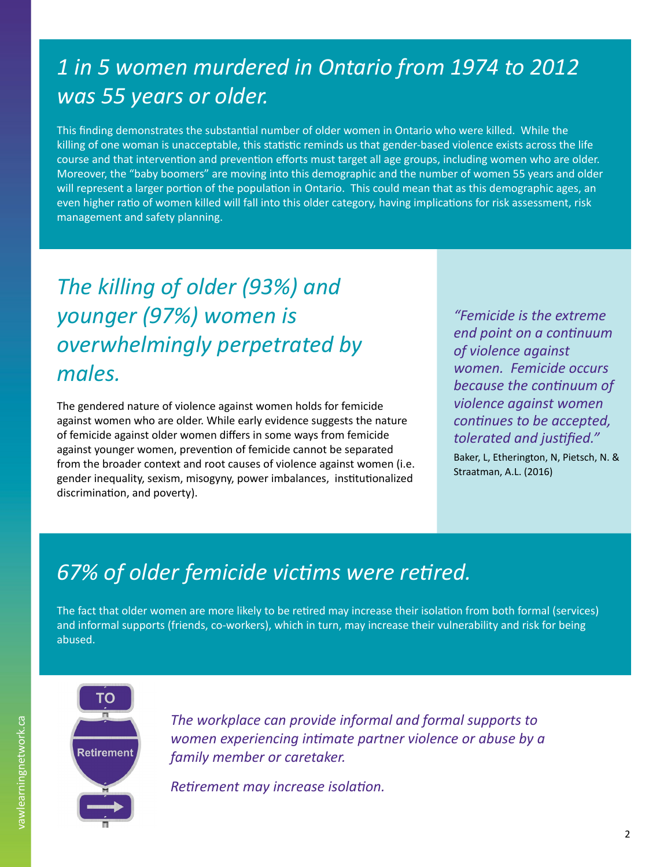## *1 in 5 women murdered in Ontario from 1974 to 2012 was 55 years or older.*

This finding demonstrates the substantial number of older women in Ontario who were killed. While the killing of one woman is unacceptable, this statistic reminds us that gender-based violence exists across the life course and that intervention and prevention efforts must target all age groups, including women who are older. Moreover, the "baby boomers" are moving into this demographic and the number of women 55 years and older will represent a larger portion of the population in Ontario. This could mean that as this demographic ages, an even higher ratio of women killed will fall into this older category, having implications for risk assessment, risk management and safety planning.

## *The killing of older (93%) and younger (97%) women is overwhelmingly perpetrated by males.*

The gendered nature of violence against women holds for femicide against women who are older. While early evidence suggests the nature of femicide against older women differs in some ways from femicide against younger women, prevention of femicide cannot be separated from the broader context and root causes of violence against women (i.e. gender inequality, sexism, misogyny, power imbalances, institutionalized discrimination, and poverty).

*"Femicide is the extreme end point on a continuum of violence against women. Femicide occurs because the continuum of violence against women continues to be accepted, tolerated and justified."* 

Baker, L, Etherington, N, Pietsch, N. & Straatman, A.L. (2016)

## *67% of older femicide victims were retired.*

The fact that older women are more likely to be retired may increase their isolation from both formal (services) and informal supports (friends, co-workers), which in turn, may increase their vulnerability and risk for being abused.



*The workplace can provide informal and formal supports to women experiencing intimate partner violence or abuse by a family member or caretaker.* 

*Retirement may increase isolation.*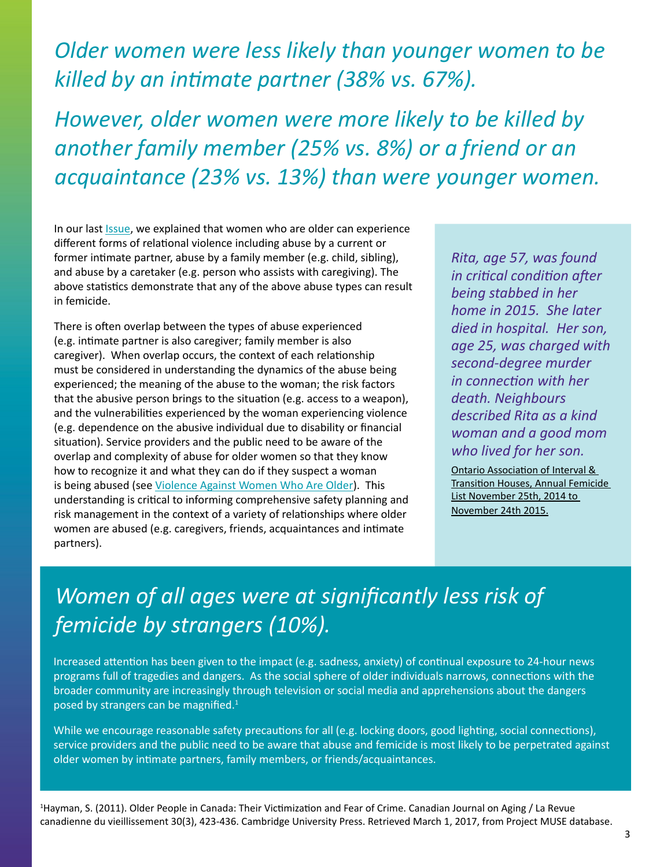## *Older women were less likely than younger women to be killed by an intimate partner (38% vs. 67%).*

*However, older women were more likely to be killed by another family member (25% vs. 8%) or a friend or an acquaintance (23% vs. 13%) than were younger women.*

In our last **Issue**, we explained that women who are older can experience different forms of relational violence including abuse by a current or former intimate partner, abuse by a family member (e.g. child, sibling), and abuse by a caretaker (e.g. person who assists with caregiving). The above statistics demonstrate that any of the above abuse types can result in femicide.

There is often overlap between the types of abuse experienced (e.g. intimate partner is also caregiver; family member is also caregiver). When overlap occurs, the context of each relationship must be considered in understanding the dynamics of the abuse being experienced; the meaning of the abuse to the woman; the risk factors that the abusive person brings to the situation (e.g. access to a weapon), and the vulnerabilities experienced by the woman experiencing violence (e.g. dependence on the abusive individual due to disability or financial situation). Service providers and the public need to be aware of the overlap and complexity of abuse for older women so that they know how to recognize it and what they can do if they suspect a woman is being abused (see [Violence Against Women Who Are Older](http://www.vawlearningnetwork.ca/issue-18-violence-against-women-who-are-older)). This understanding is critical to informing comprehensive safety planning and risk management in the context of a variety of relationships where older women are abused (e.g. caregivers, friends, acquaintances and intimate partners).

*Rita, age 57, was found in critical condition after being stabbed in her home in 2015. She later died in hospital. Her son, age 25, was charged with second-degree murder in connection with her death. Neighbours described Rita as a kind woman and a good mom who lived for her son.*

[Ontario Association of Interval &](http://lcih.org/wp-content/uploads/2015/12/OAITH-Femicide-List-2014-2015-Dec-1-2015.pdf)  [Transition Houses, Annual Femicide](http://lcih.org/wp-content/uploads/2015/12/OAITH-Femicide-List-2014-2015-Dec-1-2015.pdf)  [List November 25th, 2014 to](http://lcih.org/wp-content/uploads/2015/12/OAITH-Femicide-List-2014-2015-Dec-1-2015.pdf)  [November 24th 2015](http://lcih.org/wp-content/uploads/2015/12/OAITH-Femicide-List-2014-2015-Dec-1-2015.pdf).

## *Women of all ages were at significantly less risk of femicide by strangers (10%).*

Increased attention has been given to the impact (e.g. sadness, anxiety) of continual exposure to 24-hour news programs full of tragedies and dangers. As the social sphere of older individuals narrows, connections with the broader community are increasingly through television or social media and apprehensions about the dangers posed by strangers can be magnified. $1$ 

While we encourage reasonable safety precautions for all (e.g. locking doors, good lighting, social connections), service providers and the public need to be aware that abuse and femicide is most likely to be perpetrated against older women by intimate partners, family members, or friends/acquaintances.

1 Hayman, S. (2011). Older People in Canada: Their Victimization and Fear of Crime. Canadian Journal on Aging / La Revue canadienne du vieillissement 30(3), 423-436. Cambridge University Press. Retrieved March 1, 2017, from Project MUSE database.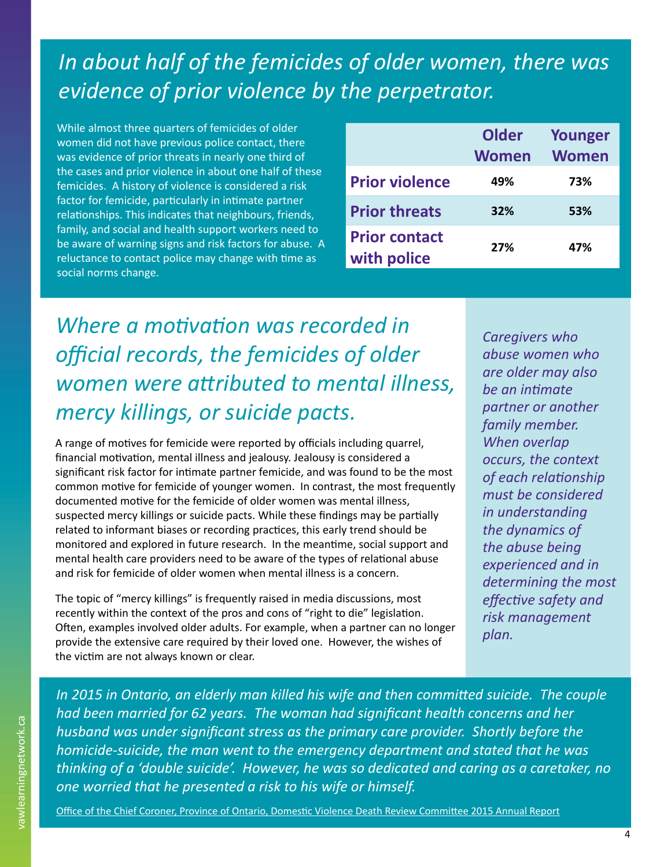## *In about half of the femicides of older women, there was evidence of prior violence by the perpetrator.*

While almost three quarters of femicides of older women did not have previous police contact, there was evidence of prior threats in nearly one third of the cases and prior violence in about one half of these femicides. A history of violence is considered a risk factor for femicide, particularly in intimate partner relationships. This indicates that neighbours, friends, family, and social and health support workers need to be aware of warning signs and risk factors for abuse. A reluctance to contact police may change with time as social norms change.

|                                     | Older<br><b>Women</b> | <b>Younger</b><br><b>Women</b> |
|-------------------------------------|-----------------------|--------------------------------|
| <b>Prior violence</b>               | 49%                   | 73%                            |
| <b>Prior threats</b>                | 32%                   | 53%                            |
| <b>Prior contact</b><br>with police | 27%                   | 47%                            |

*Where a motivation was recorded in official records, the femicides of older women were attributed to mental illness, mercy killings, or suicide pacts.*

A range of motives for femicide were reported by officials including quarrel, financial motivation, mental illness and jealousy. Jealousy is considered a significant risk factor for intimate partner femicide, and was found to be the most common motive for femicide of younger women. In contrast, the most frequently documented motive for the femicide of older women was mental illness, suspected mercy killings or suicide pacts. While these findings may be partially related to informant biases or recording practices, this early trend should be monitored and explored in future research. In the meantime, social support and mental health care providers need to be aware of the types of relational abuse and risk for femicide of older women when mental illness is a concern.

The topic of "mercy killings" is frequently raised in media discussions, most recently within the context of the pros and cons of "right to die" legislation. Often, examples involved older adults. For example, when a partner can no longer provide the extensive care required by their loved one. However, the wishes of the victim are not always known or clear.

*Caregivers who abuse women who are older may also be an intimate partner or another family member. When overlap occurs, the context of each relationship must be considered in understanding the dynamics of the abuse being experienced and in determining the most effective safety and risk management plan.*

*In 2015 in Ontario, an elderly man killed his wife and then committed suicide. The couple had been married for 62 years. The woman had significant health concerns and her husband was under significant stress as the primary care provider. Shortly before the homicide-suicide, the man went to the emergency department and stated that he was thinking of a 'double suicide'. However, he was so dedicated and caring as a caretaker, no one worried that he presented a risk to his wife or himself.* 

[Office of the Chief Coroner, Province of Ontario, Domestic Violence Death Review Committee 2015 Annual Report](http://cdhpi.ca/sites/cdhpi.ca/files/DVDRC 2015 Annual Report English Accessible.pdf)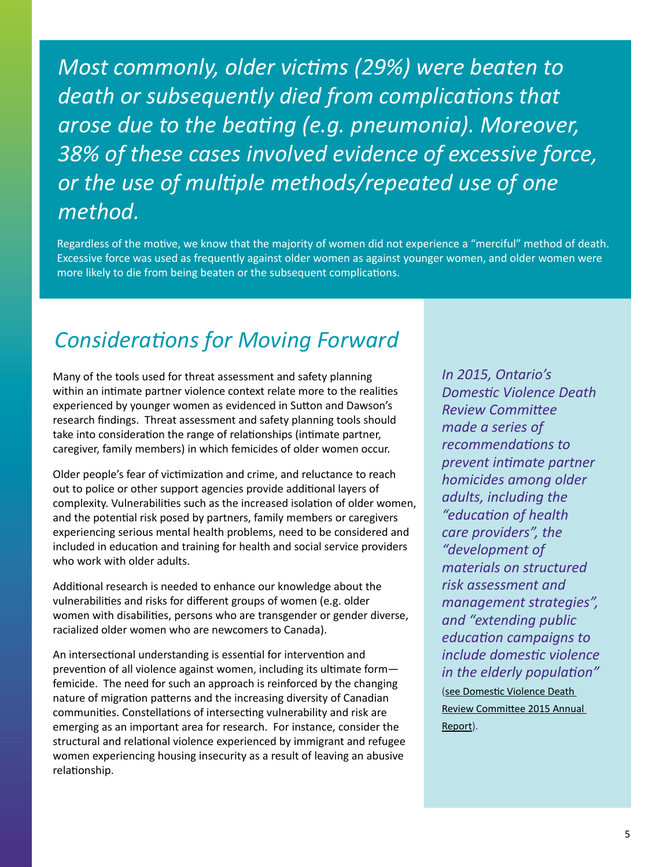*Most commonly, older victims (29%) were beaten to death or subsequently died from complications that arose due to the beating (e.g. pneumonia). Moreover, 38% of these cases involved evidence of excessive force, or the use of multiple methods/repeated use of one method.*

Regardless of the motive, we know that the majority of women did not experience a "merciful" method of death. Excessive force was used as frequently against older women as against younger women, and older women were more likely to die from being beaten or the subsequent complications.

## *Considerations for Moving Forward*

Many of the tools used for threat assessment and safety planning within an intimate partner violence context relate more to the realities experienced by younger women as evidenced in Sutton and Dawson's research findings. Threat assessment and safety planning tools should take into consideration the range of relationships (intimate partner, caregiver, family members) in which femicides of older women occur.

Older people's fear of victimization and crime, and reluctance to reach out to police or other support agencies provide additional layers of complexity. Vulnerabilities such as the increased isolation of older women, and the potential risk posed by partners, family members or caregivers experiencing serious mental health problems, need to be considered and included in education and training for health and social service providers who work with older adults.

Additional research is needed to enhance our knowledge about the vulnerabilities and risks for different groups of women (e.g. older women with disabilities, persons who are transgender or gender diverse, racialized older women who are newcomers to Canada).

An intersectional understanding is essential for intervention and prevention of all violence against women, including its ultimate form femicide. The need for such an approach is reinforced by the changing nature of migration patterns and the increasing diversity of Canadian communities. Constellations of intersecting vulnerability and risk are emerging as an important area for research. For instance, consider the structural and relational violence experienced by immigrant and refugee women experiencing housing insecurity as a result of leaving an abusive relationship.

*In 2015, Ontario's Domestic Violence Death Review Committee made a series of recommendations to prevent intimate partner homicides among older adults, including the "education of health care providers", the "development of materials on structured risk assessment and management strategies", and "extending public education campaigns to include domestic violence in the elderly population"*  ([see Domestic Violence Death](http://cdhpi.ca/sites/cdhpi.ca/files/DVDRC 2015 Annual Report English Accessible.pdf)  [Review Committee 2015 Annual](http://cdhpi.ca/sites/cdhpi.ca/files/DVDRC 2015 Annual Report English Accessible.pdf)  [Report](http://cdhpi.ca/sites/cdhpi.ca/files/DVDRC 2015 Annual Report English Accessible.pdf)).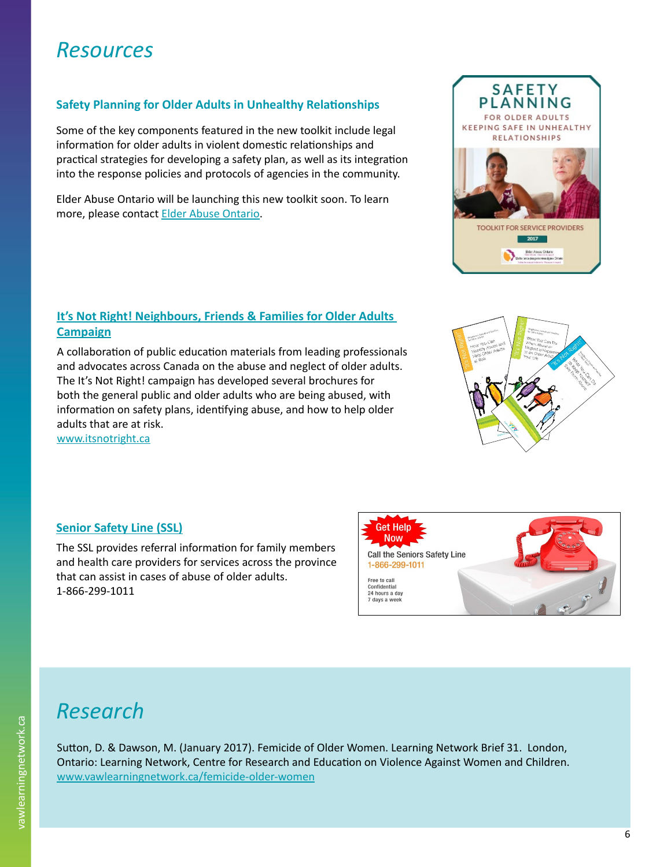## *Resources*

#### **Safety Planning for Older Adults in Unhealthy Relationships**

Some of the key components featured in the new toolkit include legal information for older adults in violent domestic relationships and practical strategies for developing a safety plan, as well as its integration into the response policies and protocols of agencies in the community.

Elder Abuse Ontario will be launching this new toolkit soon. To learn more, please contact [Elder Abuse Ontario](http://www.elderabuseontario.com/about-us/connect-with-us/).

#### **[It's Not Right! Neighbours, Friends & Families for Older Adults](http://www.itsnotright.ca)  [Campaign](http://www.itsnotright.ca)**

A collaboration of public education materials from leading professionals and advocates across Canada on the abuse and neglect of older adults. The It's Not Right! campaign has developed several brochures for both the general public and older adults who are being abused, with information on safety plans, identifying abuse, and how to help older adults that are at risk.

[www.itsnotright.ca](http://www.itsnotright.ca)

#### **[Senior Safety Line \(SSL\)](http://www.elderabuseontario.com/what-is-elder-abuse/help-for-seniors/)**

The SSL provides referral information for family members and health care providers for services across the province that can assist in cases of abuse of older adults. 1-866-299-1011

## *Research*

Sutton, D. & Dawson, M. (January 2017). Femicide of Older Women. Learning Network Brief 31. London, Ontario: Learning Network, Centre for Research and Education on Violence Against Women and Children. [www.vawlearningnetwork.ca/femicide-older-women](http://www.vawlearningnetwork.ca/femicide-older-women)